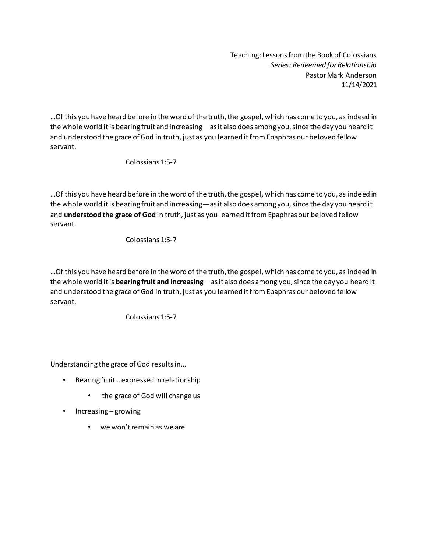Teaching: Lessons from the Book of Colossians *Series: Redeemed for Relationship* Pastor Mark Anderson 11/14/2021

…Of this you have heard before in the word of the truth, the gospel, which has come to you, as indeed in the whole world it is bearing fruit and increasing—as it also does among you, since the day you heard it and understood the grace of God in truth, just as you learned it from Epaphras our beloved fellow servant.

Colossians 1:5-7

…Of this you have heard before in the word of the truth, the gospel, which has come to you, as indeed in the whole world it is bearing fruit and increasing—as it also does among you, since the day you heard it and **understood the grace of God** in truth, just as you learned it from Epaphras our beloved fellow servant.

## Colossians 1:5-7

…Of this you have heard before in the word of the truth, the gospel, which has come to you, as indeed in the whole world it is **bearing fruit and increasing**—as it also does among you, since the day you heard it and understood the grace of God in truth, just as you learned it from Epaphras our beloved fellow servant.

Colossians 1:5-7

Understanding the grace of God results in…

- Bearing fruit… expressed in relationship
	- the grace of God will change us
- Increasing growing
	- we won't remain as we are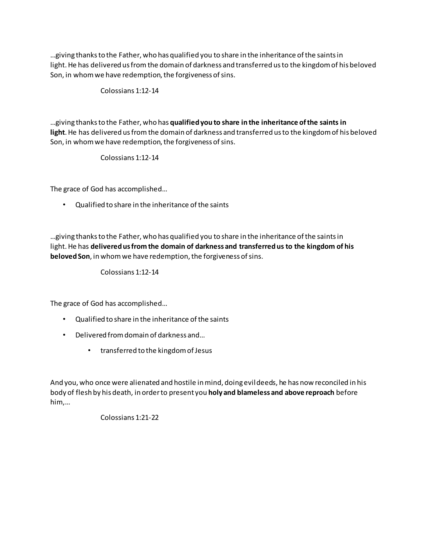…giving thanksto the Father, who has qualified you to share in the inheritance of the saints in light. He has delivered us from the domain of darkness and transferred us to the kingdom of his beloved Son, in whom we have redemption, the forgiveness of sins.

Colossians 1:12-14

…giving thanksto the Father, who has **qualified you to share in the inheritance of the saints in light**.He has delivered us from the domain of darkness and transferred us to the kingdom of his beloved Son, in whom we have redemption, the forgiveness of sins.

Colossians 1:12-14

The grace of God has accomplished…

• Qualified to share in the inheritance of the saints

…giving thanksto the Father, who has qualified you to share in the inheritance of the saints in light.He has **delivered us from the domain of darkness and transferred us to the kingdom of his beloved Son**, in whom we have redemption, the forgiveness of sins.

Colossians 1:12-14

The grace of God has accomplished…

- Qualified to share in the inheritance of the saints
- Delivered from domain of darkness and…
	- transferred to the kingdom of Jesus

And you, who once were alienated and hostile in mind, doing evil deeds, he has now reconciled in his body of flesh by his death, in order to present you **holy and blameless and above reproach** before him,…

Colossians 1:21-22